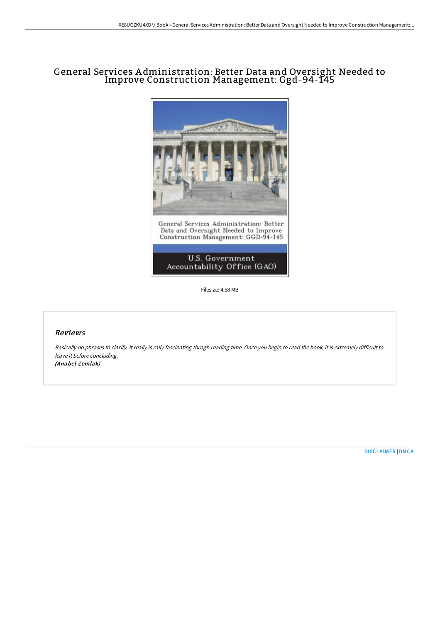## General Services A dministration: Better Data and Oversight Needed to Improve Construction Management: Ggd-94-145



Filesize: 4.58 MB

## Reviews

Basically no phrases to clarify. It really is rally fascinating throgh reading time. Once you begin to read the book, it is extremely difficult to leave it before concluding. (Anabel Zemlak)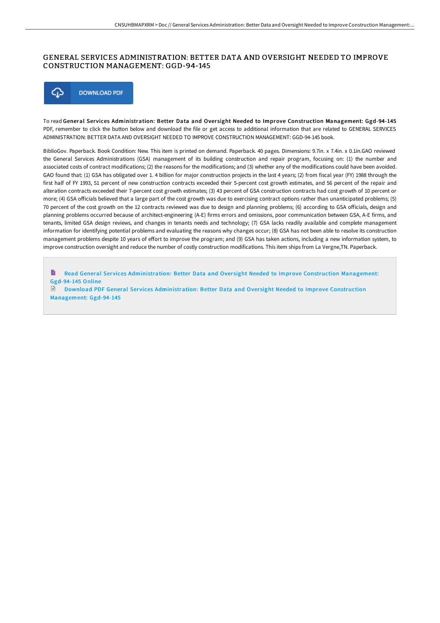## GENERAL SERVICES ADMINISTRATION: BETTER DATA AND OVERSIGHT NEEDED TO IMPROVE CONSTRUCTION MANAGEMENT: GGD-94-145



To read General Services Administration: Better Data and Oversight Needed to Improve Construction Management: Ggd-94-145 PDF, remember to click the button below and download the file or get access to additional information that are related to GENERAL SERVICES ADMINISTRATION: BETTER DATA AND OVERSIGHT NEEDED TO IMPROVE CONSTRUCTION MANAGEMENT: GGD-94-145 book.

BiblioGov. Paperback. Book Condition: New. This item is printed on demand. Paperback. 40 pages. Dimensions: 9.7in. x 7.4in. x 0.1in.GAO reviewed the General Services Administrations (GSA) management of its building construction and repair program, focusing on: (1) the number and associated costs of contract modifications; (2) the reasons for the modifications; and (3) whether any of the modifications could have been avoided. GAO found that: (1) GSA has obligated over 1. 4 billion for major construction projects in the last 4 years; (2) from fiscal year (FY) 1988 through the first half of FY 1993, 51 percent of new construction contracts exceeded their 5-percent cost growth estimates, and 56 percent of the repair and alteration contracts exceeded their 7-percent cost growth estimates; (3) 43 percent of GSA construction contracts had cost growth of 10 percent or more; (4) GSA officials believed that a large part of the cost growth was due to exercising contract options rather than unanticipated problems; (5) 70 percent of the cost growth on the 12 contracts reviewed was due to design and planning problems; (6) according to GSA officials, design and planning problems occurred because of architect-engineering (A-E) firms errors and omissions, poor communication between GSA, A-E firms, and tenants, limited GSA design reviews, and changes in tenants needs and technology; (7) GSA lacks readily available and complete management information for identifying potential problems and evaluating the reasons why changes occur; (8) GSA has not been able to resolve its construction management problems despite 10 years of eHort to improve the program; and (9) GSA has taken actions, including a new information system, to improve construction oversight and reduce the number of costly construction modifications. This item ships from La Vergne,TN. Paperback.

B Read General Services [Administration:](http://www.bookdirs.com/general-services-administration-better-data-and-.html) Better Data and Oversight Needed to Improve Construction Management: Ggd-94-145 Online

Download PDF General Services [Administration:](http://www.bookdirs.com/general-services-administration-better-data-and-.html) Better Data and Oversight Needed to Improve Construction Management: Ggd-94-145